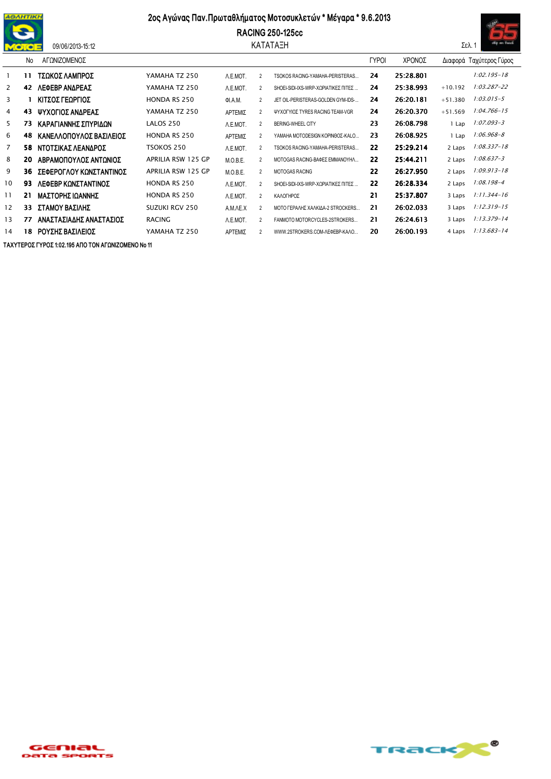

## 09/06/2013-15:12

## 2ος Αγώνας Παν. Πρωταθλήματος Μοτοσυκλετών \* Μέγαρα \* 9.6.2013





|                | No | ΑΓΩΝΙΖΟΜΕΝΟΣ            |                           |          |                |                                     | <b>TYPOI</b> | ΧΡΟΝΟΣ    |           | Διαφορά Ταχύτερος Γύρος |
|----------------|----|-------------------------|---------------------------|----------|----------------|-------------------------------------|--------------|-----------|-----------|-------------------------|
|                | 11 | ΤΣΩΚΟΣ ΛΑΜΠΡΟΣ          | YAMAHA TZ 250             | A.E.MOT. | $\overline{2}$ | TSOKOS RACING-YAMAHA-PERISTERAS     | 24           | 25:28.801 |           | $1:02.195 - 18$         |
| $\overline{2}$ | 42 | ΛΕΦΕΒΡ ΑΝΔΡΕΑΣ          | YAMAHA TZ 250             | A.E.MOT. | $\overline{2}$ | SHOEI-SIDI-IXS-WRP-XOPIATIKEΣ ΠΙΤΕΣ | 24           | 25:38.993 | $+10.192$ | $1:03.287 - 22$         |
| 3              |    | ΚΙΤΣΟΣ ΓΕΩΡΓΙΟΣ         | <b>HONDA RS 250</b>       | ΦΙ.Α.Μ.  | $\overline{2}$ | JET OIL-PERISTERAS-GOLDEN GYM-IDS-  | 24           | 26:20.181 | $+51.380$ | $1:03.015 - 5$          |
| 4              | 43 | ΨΥΧΟΓΙΟΣ ΑΝΔΡΕΑΣ        | YAMAHA TZ 250             | ΑΡΤΕΜΙΣ  | $\overline{2}$ | ΨΥΧΟΓΥΙΟΣ TYRES RACING TEAM-VGR     | 24           | 26:20.370 | $+51.569$ | $1:04.766 - 15$         |
| 5              | 73 | ΚΑΡΑΓΙΑΝΝΗΣ ΣΠΥΡΙΔΩΝ    | LALOS 250                 | A.E.MOT. | $\overline{2}$ | BERING-WHEEL CITY                   | 23           | 26:08.798 | 1 Lap     | 1:07.093-3              |
| 6              | 48 | ΚΑΝΕΛΛΟΠΟΥΛΟΣ ΒΑΣΙΛΕΙΟΣ | <b>HONDA RS 250</b>       | ΑΡΤΕΜΙΣ  | $\overline{2}$ | ΥΑΜΑΗΑ ΜΟΤΟDESIGN ΚΟΡΙΝΘΟΣ-ΚΑΙ.Ο    | 23           | 26:08.925 | l Lap     | $1:06.968 - 8$          |
| $\overline{7}$ | 58 | ΝΤΟΤΣΙΚΑΣ ΛΕΑΝΔΡΟΣ      | TSOKOS 250                | A.E.MOT. | $\overline{2}$ | TSOKOS RACING-YAMAHA-PERISTERAS     | 22           | 25:29.214 | 2 Laps    | $1:08.337 - 18$         |
| 8              | 20 | ΑΒΡΑΜΟΠΟΥΛΟΣ ΑΝΤΩΝΙΟΣ   | APRILIA RSW 125 GP        | M.O.B.E. | $\overline{2}$ | ΜΟΤΟGAS RACING-ΒΑΦΕΣ ΕΜΜΑΝΟΥΗΛ      | 22           | 25.44.211 | 2 Laps    | $1:08.637 - 3$          |
| 9              | 36 | ΣΕΦΕΡΟΓΛΟΥ ΚΩΝΣΤΑΝΤΙΝΟΣ | <b>APRILIA RSW 125 GP</b> | M.O.B.E. | $\overline{2}$ | <b>MOTOGAS RACING</b>               | 22           | 26:27.950 | 2 Laps    | $1:09.913 - 18$         |
| 10             | 93 | ΛΕΦΕΒΡ ΚΩΝΣΤΑΝΤΙΝΟΣ     | <b>HONDA RS 250</b>       | A.E.MOT. | $\overline{2}$ | SHOEI-SIDI-IXS-WRP-XOPIATIKEΣ ΠΙΤΕΣ | 22           | 26:28.334 | 2 Laps    | $1:08.198 - 4$          |
| 11             | 21 | ΜΑΣΤΟΡΗΣ ΙΩΑΝΝΗΣ        | <b>HONDA RS 250</b>       | A.E.MOT. | $\overline{2}$ | ΚΑΛΟΓΗΡΟΣ                           | 21           | 25:37.807 | 3 Laps    | $1:11.344 - 16$         |
| 12             | 33 | ΣΤΑΜΟΥ ΒΑΣΙΛΗΣ          | SUZUKI RGV 250            | A.M.AE.X | $\overline{2}$ | ΜΟΤΟ ΓΕΡΑΛΗΣ ΧΑΛΚΙΔΑ-2 STROCKERS    | 21           | 26:02.033 | 3 Laps    | $1:12.319 - 15$         |
| 13             | 77 | ΑΝΑΣΤΑΣΙΑΔΗΣ ΑΝΑΣΤΑΣΙΟΣ | <b>RACING</b>             | A.E.MOT. | $\overline{2}$ | FANMOTO MOTORCYCLES-2STROKERS       | 21           | 26:24.613 | 3 Laps    | $1:13.379 - 14$         |
| 14             | 18 | ΡΟΥΣΗΣ ΒΑΣΙΛΕΙΟΣ        | YAMAHA TZ 250             | ΑΡΤΕΜΙΣ  | $\overline{2}$ | WWW.2STROKERS.COM-AEΦEBP-KAAO       | 20           | 26:00.193 | 4 Laps    | $1:13.683 - 14$         |

ΤΑΧΥΤΕΡΟΣ ΓΥΡΟΣ 1:02.195 ΑΠΟ ΤΟΝ ΑΓΩΝΙΖΟΜΕΝΟ Νο 11